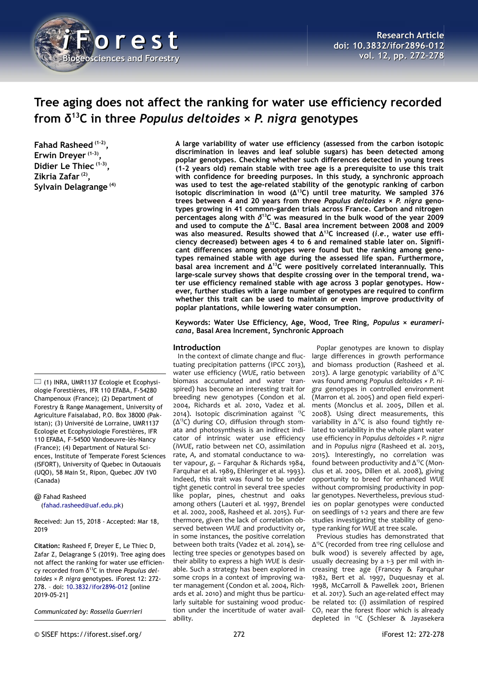

# **Tree aging does not affect the ranking for water use efficiency recorded from δ<sup>13</sup>C in three** *Populus deltoides × P. nigra* **genotypes**

**Fahad Rasheed (1-2) , Erwin Dreyer (1-3) , Didier Le Thiec (1-3) , Zikria Zafar (2) , Sylvain Delagrange (4)**

 $\Box$  (1) INRA, UMR1137 Ecologie et Ecophysiologie Forestières, IFR 110 EFABA, F-54280 Champenoux (France); (2) Department of Forestry & Range Management, University of Agriculture Faisalabad, P.O. Box 38000 (Pakistan); (3) Université de Lorraine, UMR1137 Ecologie et Ecophysiologie Forestières, IFR 110 EFABA, F-54500 Vandoeuvre-lès-Nancy (France); (4) Department of Natural Sciences, Institute of Temperate Forest Sciences (ISFORT), University of Quebec in Outaouais (UQO), 58 Main St, Ripon, Quebec J0V 1V0 (Canada)

@ Fahad Rasheed [\(fahad.rasheed@uaf.edu.pk\)](mailto:fahad.rasheed@uaf.edu.pk)

Received: Jun 15, 2018 - Accepted: Mar 18, 2019

**Citation:** Rasheed F, Dreyer E, Le Thiec D, Zafar Z, Delagrange S (2019). Tree aging does not affect the ranking for water use efficiency recorded from δ13C in three *Populus deltoides × P. nigra* genotypes. iForest 12: 272- 278. – doi: [10.3832/ifor2896-012](http://www.sisef.it/iforest/contents/?id=ifor2896-012) [online 2019-05-21]

*Communicated by: Rossella Guerrieri*

**A large variability of water use efficiency (assessed from the carbon isotopic discrimination in leaves and leaf soluble sugars) has been detected among poplar genotypes. Checking whether such differences detected in young trees (1-2 years old) remain stable with tree age is a prerequisite to use this trait with confidence for breeding purposes. In this study, a synchronic approach was used to test the age-related stability of the genotypic ranking of carbon isotopic discrimination in wood (Δ<sup>13</sup>C) until tree maturity. We sampled 376 trees between 4 and 20 years from three** *Populus deltoides × P. nigra* **genotypes growing in 41 common-garden trials across France. Carbon and nitrogen percentages along with** *δ* **<sup>13</sup>C was measured in the bulk wood of the year 2009 and used to compute the Δ<sup>13</sup>C. Basal area increment between 2008 and 2009 was also measured. Results showed that Δ13C increased (***i.e.***, water use efficiency decreased) between ages 4 to 6 and remained stable later on. Significant differences among genotypes were found but the ranking among genotypes remained stable with age during the assessed life span. Furthermore, basal area increment and Δ<sup>13</sup>C were positively correlated interannually. This large-scale survey shows that despite crossing over in the temporal trend, water use efficiency remained stable with age across 3 poplar genotypes. However, further studies with a large number of genotypes are required to confirm whether this trait can be used to maintain or even improve productivity of poplar plantations, while lowering water consumption.**

**Keywords: Water Use Efficiency, Age, Wood, Tree Ring,** *Populus × euramericana***, Basal Area Increment, Synchronic Approach**

## **Introduction**

In the context of climate change and fluctuating precipitation patterns (IPCC 2013), water use efficiency (*WUE*, ratio between biomass accumulated and water transpired) has become an interesting trait for breeding new genotypes (Condon et al. 2004, Richards et al. 2010, Vadez et al. 2014). Isotopic discrimination against <sup>13</sup>C  $(\Delta^{13}C)$  during CO<sub>2</sub> diffusion through stomata and photosynthesis is an indirect indicator of intrinsic water use efficiency (*iWUE*, ratio between net CO<sub>2</sub> assimilation rate, *A,* and stomatal conductance to water vapour, *g*<sup>s</sup> – Farquhar & Richards 1984, Farquhar et al. 1989, Ehleringer et al. 1993). Indeed, this trait was found to be under tight genetic control in several tree species like poplar, pines, chestnut and oaks among others (Lauteri et al. 1997, Brendel et al. 2002, 2008, Rasheed et al. 2015). Furthermore, given the lack of correlation observed between *WUE* and productivity or, in some instances, the positive correlation between both traits (Vadez et al. 2014), selecting tree species or genotypes based on their ability to express a high *WUE* is desirable. Such a strategy has been explored in some crops in a context of improving water management (Condon et al. 2004, Richards et al. 2010) and might thus be particularly suitable for sustaining wood production under the incertitude of water availability.

Poplar genotypes are known to display large differences in growth performance and biomass production (Rasheed et al. 2013). A large genotypic variability of Δ<sup>13</sup>C was found among *Populus deltoides × P. nigra* genotypes in controlled environment (Marron et al. 2005) and open field experiments (Monclus et al. 2005, Dillen et al. 2008). Using direct measurements, this variability in  $\Delta$ <sup>13</sup>C is also found tightly related to variability in the whole plant water use efficiency in *Populus deltoides × P. nigra* and in *Populus nigra* (Rasheed et al. 2013, 2015). Interestingly, no correlation was found between productivity and Δ13C (Monclus et al. 2005, Dillen et al. 2008), giving opportunity to breed for enhanced *WUE* without compromising productivity in poplar genotypes. Nevertheless, previous studies on poplar genotypes were conducted on seedlings of 1-2 years and there are few studies investigating the stability of genotype ranking for *WUE* at tree scale.

Previous studies has demonstrated that Δ <sup>13</sup>C (recorded from tree ring cellulose and bulk wood) is severely affected by age, usually decreasing by a 1-3 per mil with increasing tree age (Francey & Farquhar 1982, Bert et al. 1997, Duquesnay et al. 1998, McCarroll & Pawellek 2001, Brienen et al. 2017). Such an age-related effect may be related to: (i) assimilation of respired CO<sub>2</sub> near the forest floor which is already depleted in <sup>13</sup>C (Schleser & Jayasekera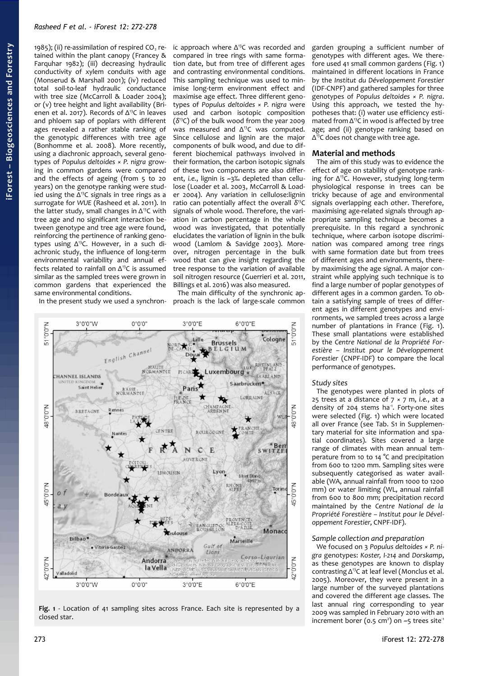1985); (ii) re-assimilation of respired  $CO<sub>2</sub>$  retained within the plant canopy (Francey & Farquhar 1982); (iii) decreasing hydraulic conductivity of xylem conduits with age (Monserud & Marshall 2001); (iv) reduced total soil-to-leaf hydraulic conductance with tree size (McCarroll & Loader 2004); or (v) tree height and light availability (Brienen et al. 2017). Records of Δ<sup>13</sup>C in leaves and phloem sap of poplars with different ages revealed a rather stable ranking of the genotypic differences with tree age (Bonhomme et al. 2008). More recently, using a diachronic approach, several genotypes of *Populus deltoides × P. nigra* growing in common gardens were compared and the effects of ageing (from 5 to 20 years) on the genotype ranking were studied using the  $\Delta$ <sup>13</sup>C signals in tree rings as a surrogate for *WUE* (Rasheed et al. 2011). In the latter study, small changes in  $\Delta^{13}$ C with tree age and no significant interaction between genotype and tree age were found, reinforcing the pertinence of ranking genotypes using Δ<sup>13</sup>C. However, in a such diachronic study, the influence of long-term environmental variability and annual effects related to rainfall on  $\Delta^{13}$ C is assumed similar as the sampled trees were grown in common gardens that experienced the same environmental conditions.

In the present study we used a synchron-

ic approach where Δ<sup>13</sup>C was recorded and compared in tree rings with same formation date, but from tree of different ages and contrasting environmental conditions. This sampling technique was used to minimise long-term environment effect and maximise age effect. Three different genotypes of *Populus deltoides × P. nigra* were used and carbon isotopic composition (*δ* <sup>13</sup>C) of the bulk wood from the year 2009 was measured and Δ<sup>13</sup>C was computed. Since cellulose and lignin are the major components of bulk wood, and due to different biochemical pathways involved in their formation, the carbon isotopic signals of these two components are also different, *i.e.*, lignin is ~3‰ depleted than cellulose (Loader et al. 2003, McCarroll & Loader 2004). Any variation in cellulose:lignin ratio can potentially affect the overall *δ* 13C signals of whole wood. Therefore, the variation in carbon percentage in the whole wood was investigated, that potentially elucidates the variation of lignin in the bulk wood (Lamlom & Savidge 2003). Moreover, nitrogen percentage in the bulk wood that can give insight regarding the tree response to the variation of available soil nitrogen resource (Guerrieri et al. 2011, Billings et al. 2016) was also measured.

The main difficulty of the synchronic approach is the lack of large-scale common



<span id="page-1-0"></span>**Fig. 1** - Location of 41 sampling sites across France. Each site is represented by a closed star.

garden grouping a sufficient number of genotypes with different ages. We therefore used 41 small common gardens [\(Fig. 1\)](#page-1-0) maintained in different locations in France by the *Institut du Développement Forestier* (IDF-CNPF) and gathered samples for three genotypes of *Populus deltoides × P. nigra*. Using this approach, we tested the hypotheses that: (i) water use efficiency estimated from  $\Delta^{13}$ C in wood is affected by tree age; and (ii) genotype ranking based on  $\Delta$ <sup>13</sup>C does not change with tree age.

# **Material and methods**

The aim of this study was to evidence the effect of age on stability of genotype ranking for  $\Delta^{13}$ C. However, studying long-term physiological response in trees can be tricky because of age and environmental signals overlapping each other. Therefore, maximising age-related signals through appropriate sampling technique becomes a prerequisite. In this regard a synchronic technique, where carbon isotope discrimination was compared among tree rings with same formation date but from trees of different ages and environments, thereby maximising the age signal. A major constraint while applying such technique is to find a large number of poplar genotypes of different ages in a common garden. To obtain a satisfying sample of trees of different ages in different genotypes and environments, we sampled trees across a large number of plantations in France [\(Fig. 1\)](#page-1-0). These small plantations were established by the *Centre National de la Propriété Forestière – Institut pour le Développement Forestier* (CNPF-IDF) to compare the local performance of genotypes.

## *Study sites*

The genotypes were planted in plots of 25 trees at a distance of 7 × 7 m, *i.e.*, at a density of 204 stems ha<sup>-1</sup>. Forty-one sites were selected [\(Fig. 1\)](#page-1-0) which were located all over France (see Tab. S1 in Supplementary material for site information and spatial coordinates). Sites covered a large range of climates with mean annual temperature from 10 to 14 °C and precipitation from 600 to 1200 mm. Sampling sites were subsequently categorised as water available (WA, annual rainfall from 1000 to 1200 mm) or water limiting (WL, annual rainfall from 600 to 800 mm; precipitation record maintained by the *Centre National de la Propriété Forestière – Institut pour le Développement Forestier*, CNPF-IDF).

# *Sample collection and preparation*

We focused on 3 *Populus deltoides × P. nigra* genotypes: *Koster, I-214* and *Dorskamp*, as these genotypes are known to display contrasting  $\Delta^{13}$ C at leaf level (Monclus et al. 2005). Moreover, they were present in a large number of the surveyed plantations and covered the different age classes. The last annual ring corresponding to year 2009 was sampled in February 2010 with an increment borer (0.5 cm<sup>2</sup>) on  $-5$  trees site<sup>-1</sup>

**iForest –**

**Bio geoscie**

**nces a nd Forestry**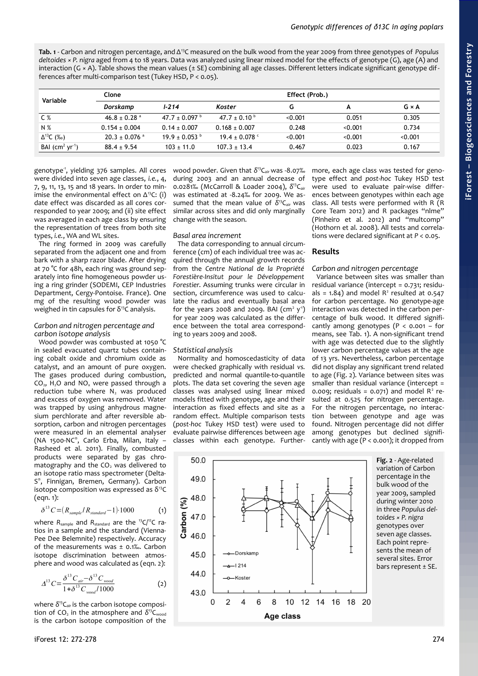<span id="page-2-1"></span>**Tab. 1** - Carbon and nitrogen percentage, and Δ<sup>13</sup>C measured on the bulk wood from the year 2009 from three genotypes of *Populus deltoides × P. nigra* aged from 4 to 18 years. Data was analyzed using linear mixed model for the effects of genotype (G), age (A) and interaction (G  $\times$  A). Table shows the mean values ( $\pm$  SE) combining all age classes. Different letters indicate significant genotype differences after multi-comparison test (Tukey HSD, P < 0.05).

| Variable          | Clone                         |                         |                        |         | Effect (Prob.) |              |  |
|-------------------|-------------------------------|-------------------------|------------------------|---------|----------------|--------------|--|
|                   | Dorskamp                      | $1 - 214$               | Koster                 |         | A              | $G \times A$ |  |
| C %               | $46.8 \pm 0.28$ <sup>a</sup>  | 47.7 ± 0.097 $^{\circ}$ | 47.7 ± 0.10 $^{\circ}$ | < 0.001 | 0.051          | 0.305        |  |
| N %               | $0.154 \pm 0.004$             | $0.14 + 0.007$          | $0.168 \pm 0.007$      | 0.248   | < 0.001        | 0.734        |  |
| $\Delta^{13}C(%)$ | $20.3 \pm 0.076$ <sup>a</sup> | $19.9 \pm 0.053$ b      | 19.4 ± 0.078 $\degree$ | < 0.001 | < 0.001        | < 0.001      |  |
| BAI $(cm2 yr-1)$  | $88.4 \pm 9.54$               | $103 \pm 11.0$          | $107.3 \pm 13.4$       | 0.467   | 0.023          | 0.167        |  |

genotype<sup>1</sup>, yielding 376 samples. All cores were divided into seven age classes, *i.e.*, 4, 7, 9, 11, 13, 15 and 18 years. In order to minimise the environmental effect on  $\Delta^{13}$ C: (i) date effect was discarded as all cores corresponded to year 2009; and (ii) site effect was averaged in each age class by ensuring the representation of trees from both site types, *i.e.*, WA and WL sites.

The ring formed in 2009 was carefully separated from the adjacent one and from bark with a sharp razor blade. After drying at 70 °C for 48h, each ring was ground separately into fine homogeneous powder using a ring grinder (SODEMI, CEP Industries Department, Cergy-Pontoise. France). One mg of the resulting wood powder was weighed in tin capsules for  $\delta^{13}$ C analysis.

# *Carbon and nitrogen percentage and carbon isotope analysis*

Wood powder was combusted at 1050 °C in sealed evacuated quartz tubes containing cobalt oxide and chromium oxide as catalyst, and an amount of pure oxygen. The gases produced during combustion, CO2, H2O and NOx were passed through a reduction tube where  $N_2$  was produced and excess of oxygen was removed. Water was trapped by using anhydrous magnesium perchlorate and after reversible absorption, carbon and nitrogen percentages were measured in an elemental analyser (NA 1500-NC® , Carlo Erba, Milan, Italy – Rasheed et al. 2011). Finally, combusted products were separated by gas chromatography and the CO<sub>2</sub> was delivered to an isotope ratio mass spectrometer (Delta-S ® , Finnigan, Bremen, Germany). Carbon isotope composition was expressed as  $\delta^{13}C$ (eqn. 1):

$$
\delta^{13} C = (R_{sample} / R_{standard} - 1) \cdot 1000 \tag{1}
$$

where *R*<sub>sample</sub> and *R*<sub>standard</sub> are the <sup>13</sup>C/<sup>12</sup>C ratios in a sample and the standard (Vienna-Pee Dee Belemnite) respectively. Accuracy of the measurements was ± 0.1‰. Carbon isotope discrimination between atmosphere and wood was calculated as (eqn. 2):

$$
\Delta^{13} C = \frac{\delta^{13} C_{air} - \delta^{13} C_{wood}}{1 + \delta^{13} C_{wood} / 1000}
$$
 (2)

where  $\delta^{13}C_{air}$  is the carbon isotope composition of  $CO<sub>2</sub>$  in the atmosphere and  $\delta^{13}C_{wood}$ is the carbon isotope composition of the

wood powder. Given that *δ* <sup>13</sup>Cair was -8.07‰ during 2003 and an annual decrease of 0.0281‰ (McCarroll & Loader 2004), *δ* <sup>13</sup>Cair was estimated at -8.24‰ for 2009. We assumed that the mean value of  $δ<sup>13</sup>C<sub>air</sub>$  was similar across sites and did only marginally change with the season.

# *Basal area increment*

The data corresponding to annual circumference (cm) of each individual tree was acquired through the annual growth records from the *Centre National de la Propriété Forestière-Insitut pour le Développement Forestier*. Assuming trunks were circular in section, circumference was used to calculate the radius and eventually basal area for the years 2008 and 2009. BAI  $(\text{cm}^2 \text{ y}^4)$ for year 2009 was calculated as the difference between the total area corresponding to years 2009 and 2008.

# *Statistical analysis*

Normality and homoscedasticity of data were checked graphically with residual *vs.* predicted and normal quantile-to-quantile plots. The data set covering the seven age classes was analysed using linear mixed models fitted with genotype, age and their interaction as fixed effects and site as a random effect. Multiple comparison tests (*post-hoc* Tukey HSD test) were used to evaluate pairwise differences between age classes within each genotype. Further-

more, each age class was tested for genotype effect and *post-hoc* Tukey HSD test were used to evaluate pair-wise differences between genotypes within each age class. All tests were performed with R (R Core Team 2012) and R packages "nlme" (Pinheiro et al. 2012) and "multcomp" (Hothorn et al. 2008). All tests and correlations were declared significant at *P* < 0.05.

# **Results**

# *Carbon and nitrogen percentage*

<span id="page-2-0"></span>Variance between sites was smaller than residual variance (intercept = 0.731; residuals =  $1.84$ ) and model R<sup>2</sup> resulted at 0.547 for carbon percentage. No genotype-age interaction was detected in the carbon percentage of bulk wood. It differed significantly among genotypes ( $P < 0.001 - for$ means, see [Tab. 1\)](#page-2-1). A non-significant trend with age was detected due to the slightly lower carbon percentage values at the age of 13 yrs. Nevertheless, carbon percentage did not display any significant trend related to age [\(Fig. 2\)](#page-2-0). Variance between sites was smaller than residual variance (intercept  $=$ 0.009; residuals = 0.071) and model  $R^2$  resulted at 0.525 for nitrogen percentage. For the nitrogen percentage, no interaction between genotype and age was found. Nitrogen percentage did not differ among genotypes but declined significantly with age ( $P < 0.001$ ); it dropped from

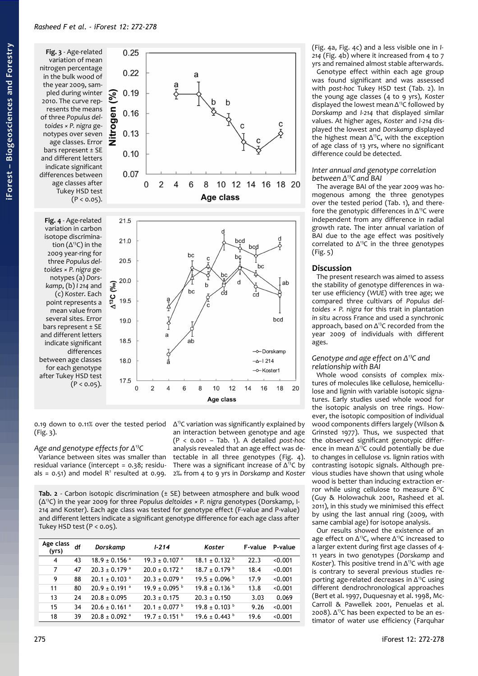<span id="page-3-2"></span>**Fig. 3** - Age-related variation of mean nitrogen percentage in the bulk wood of the year 2009, sampled during winter 2010. The curve represents the means of three *Populus deltoides × P. nigra* genotypes over seven age classes. Error bars represent ± SE and different letters indicate significant differences between age classes after Tukey HSD test  $(P < 0.05)$ .

<span id="page-3-1"></span>**Fig. 4** - Age-related variation in carbon isotope discrimination  $(\Delta^{13}C)$  in the 2009 year-ring for three *Populus deltoides × P. nigra* genotypes (a) *Dorskamp*, (b) *I 214* and (c) *Koster*. Each point represents a mean value from several sites. Error bars represent ± SE and different letters indicate significant differences between age classes for each genotype after Tukey HSD test  $(P < 0.05)$ .



0.19 down to 0.11% over the tested period [\(Fig. 3\)](#page-3-2).

## *Age and genotype effects for Δ<sup>13</sup>C*

Variance between sites was smaller than residual variance (intercept = 0.38; residuals =  $0.51$ ) and model  $R<sup>2</sup>$  resulted at 0.99.

Δ <sup>13</sup>C variation was significantly explained by an interaction between genotype and age (P < 0.001 – [Tab. 1\)](#page-2-1). A detailed *post-hoc* analysis revealed that an age effect was detectable in all three genotypes [\(Fig. 4\)](#page-3-1). There was a significant increase of  $\Delta^{13}$ C by 2‰ from 4 to 9 yrs in *Dorskamp* and *Koster*

<span id="page-3-0"></span>**Tab. 2** - Carbon isotopic discrimination (± SE) between atmosphere and bulk wood (Δ13C) in the year 2009 for three *Populus deltoides × P. nigra* genotypes (Dorskamp, I-214 and Koster). Each age class was tested for genotype effect (F-value and P-value) and different letters indicate a significant genotype difference for each age class after Tukey HSD test  $(P < 0.05)$ .

| Age class<br>(yrs) | df | Dorskamp                      | $1 - 214$                     | Koster                        | F-value | P-value |
|--------------------|----|-------------------------------|-------------------------------|-------------------------------|---------|---------|
| 4                  | 43 | $18.9 \pm 0.156$ <sup>a</sup> | $19.3 \pm 0.107$ <sup>a</sup> | $18.1 \pm 0.132$ <sup>b</sup> | 22.3    | < 0.001 |
| 7                  | 47 | $20.3 \pm 0.179$ <sup>a</sup> | $20.0 \pm 0.172$ <sup>a</sup> | $18.7 \pm 0.179$ <sup>b</sup> | 18.4    | < 0.001 |
| 9                  | 88 | $20.1 \pm 0.103$ <sup>a</sup> | $20.3 \pm 0.079$ <sup>a</sup> | $19.5 \pm 0.096$ b            | 17.9    | < 0.001 |
| 11                 | 80 | $20.9 \pm 0.191$ <sup>a</sup> | $19.9 \pm 0.095$ <sup>b</sup> | $19.8 \pm 0.136$ b            | 13.8    | < 0.001 |
| 13                 | 24 | $20.8 \pm 0.095$              | $20.3 \pm 0.175$              | $20.3 \pm 0.150$              | 3.03    | 0.069   |
| 15                 | 34 | $20.6 \pm 0.161$ <sup>a</sup> | $20.1 \pm 0.077$              | $19.8 \pm 0.103$ <sup>b</sup> | 9.26    | < 0.001 |
| 18                 | 39 | $20.8 \pm 0.092$ <sup>a</sup> | $19.7 \pm 0.151$ <sup>b</sup> | $19.6 \pm 0.443^{\circ}$      | 19.6    | < 0.001 |

[\(Fig. 4a](#page-3-1), [Fig. 4c](#page-3-1)) and a less visible one in *I-214* [\(Fig. 4b](#page-3-1)) where it increased from 4 to 7 yrs and remained almost stable afterwards. Genotype effect within each age group was found significant and was assessed with *post-hoc* Tukey HSD test [\(Tab. 2\)](#page-3-0). In the young age classes (4 to 9 yrs), *Koster* displayed the lowest mean  $\Delta^{13}$ C followed by *Dorskamp* and *I-214* that displayed similar values. At higher ages, *Koster* and *I-214* displayed the lowest and *Dorskamp* displayed the highest mean  $\Delta^{13}$ C, with the exception of age class of 13 yrs, where no significant difference could be detected.

#### *Inter annual and genotype correlation between Δ<sup>13</sup>C and BAI*

The average BAI of the year 2009 was homogenous among the three genotypes over the tested period [\(Tab. 1\)](#page-2-1), and therefore the genotypic differences in  $\Delta^{13}$ C were independent from any difference in radial growth rate. The inter annual variation of BAI due to the age effect was positively correlated to  $\Delta^{13}$ C in the three genotypes [\(Fig. 5\)](#page-4-0)

# **Discussion**

The present research was aimed to assess the stability of genotype differences in water use efficiency (*WUE*) with tree age; we compared three cultivars of *Populus deltoides × P. nigra* for this trait in plantation *in situ* across France and used a synchronic approach, based on Δ<sup>13</sup>C recorded from the year 2009 of individuals with different ages.

#### *Genotype and age effect on Δ<sup>13</sup>C and relationship with BAI*

Whole wood consists of complex mixtures of molecules like cellulose, hemicellulose and lignin with variable isotopic signatures. Early studies used whole wood for the isotopic analysis on tree rings. However, the isotopic composition of individual wood components differs largely (Wilson & Grinsted 1977). Thus, we suspected that the observed significant genotypic difference in mean  $\Delta^{13}$ C could potentially be due to changes in cellulose *vs.* lignin ratios with contrasting isotopic signals. Although previous studies have shown that using whole wood is better than inducing extraction error while using cellulose to measure  $δ<sup>13</sup>C$ (Guy & Holowachuk 2001, Rasheed et al. 2011), in this study we minimised this effect by using the last annual ring (2009, with same cambial age) for isotope analysis.

Our results showed the existence of an age effect on  $\Delta^{13}$ C, where  $\Delta^{13}$ C increased to a larger extent during first age classes of 4- 11 years in two genotypes (*Dorskamp* and *Koster*). This positive trend in Δ<sup>13</sup>C with age is contrary to several previous studies reporting age-related decreases in  $\Delta^{13}C$  using different dendrochronological approaches (Bert et al. 1997, Duquesnay et al. 1998, Mc-Carroll & Pawellek 2001, Penuelas et al. 2008).  $Δ<sup>13</sup>$ C has been expected to be an estimator of water use efficiency (Farquhar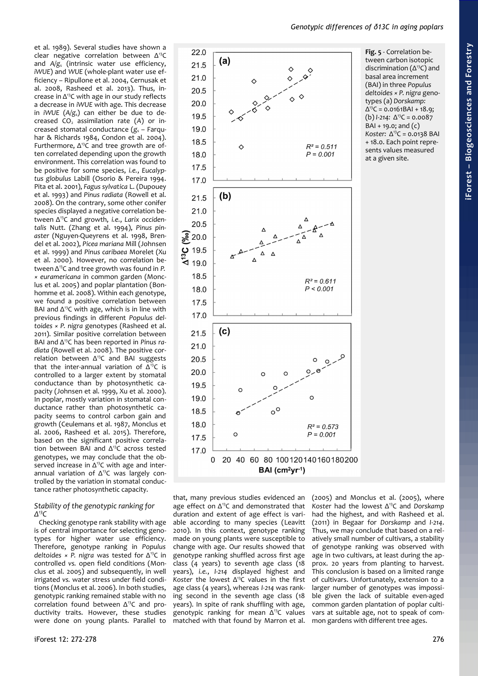<span id="page-4-0"></span>*Genotypic differences of δ13C in aging poplars*



age effect on  $\Delta^{13}$ C and demonstrated that duration and extent of age effect is variable according to many species (Leavitt 2010). In this context, genotype ranking made on young plants were susceptible to change with age. Our results showed that genotype ranking shuffled across first age class (4 years) to seventh age class (18 years), *i.e.*, *I-214* displayed highest and *Koster* the lowest Δ<sup>13</sup>C values in the first age class (4 years), whereas *I-214* was ranking second in the seventh age class (18 years). In spite of rank shuffling with age, genotypic ranking for mean  $\Delta^{13}$ C values matched with that found by Marron et al.

et al. 1989). Several studies have shown a clear negative correlation between Δ<sup>13</sup>C and *A/g*s (intrinsic water use efficiency, *iWUE*) and *WUE* (whole-plant water use efficiency – Ripullone et al. 2004, Cernusak et al. 2008, Rasheed et al. 2013). Thus, increase in  $\Delta^{13}$ C with age in our study reflects a decrease in *iWUE* with age. This decrease in *iWUE* (*A/g*s) can either be due to decreased  $CO<sub>2</sub>$  assimilation rate (A) or increased stomatal conductance (g<sub>s</sub> - Farquhar & Richards 1984, Condon et al. 2004). Furthermore,  $\Delta^{13}$ C and tree growth are often correlated depending upon the growth environment. This correlation was found to be positive for some species, *i.e.*, *Eucalyptus globulus* Labill (Osorio & Pereira 1994. Pita et al. 2001), *Fagus sylvatica* L. (Dupouey et al. 1993) and *Pinus radiata* (Rowell et al. 2008). On the contrary, some other conifer species displayed a negative correlation between Δ13C and growth, *i.e.*, *Larix occidentalis* Nutt. (Zhang et al. 1994), *Pinus pinaster* (Nguyen-Queyrens et al. 1998, Brendel et al. 2002), *Picea mariana* Mill (Johnsen et al. 1999) and *Pinus caribaea* Morelet (Xu et al. 2000). However, no correlation between Δ<sup>13</sup>C and tree growth was found in *P. × euramericana* in common garden (Monclus et al. 2005) and poplar plantation (Bonhomme et al. 2008). Within each genotype, we found a positive correlation between BAI and  $\Delta^{13}$ C with age, which is in line with previous findings in different *Populus deltoides × P. nigra* genotypes (Rasheed et al. 2011). Similar positive correlation between BAI and Δ13C has been reported in *Pinus radiata* (Rowell et al. 2008). The positive correlation between  $\Delta^{13}$ C and BAI suggests that the inter-annual variation of  $\Delta^{13}C$  is controlled to a larger extent by stomatal conductance than by photosynthetic capacity (Johnsen et al. 1999, Xu et al. 2000). In poplar, mostly variation in stomatal conductance rather than photosynthetic capacity seems to control carbon gain and growth (Ceulemans et al. 1987, Monclus et al. 2006, Rasheed et al. 2015). Therefore, based on the significant positive correlation between BAI and  $\Delta^{13}$ C across tested genotypes, we may conclude that the observed increase in  $\Delta$ <sup>13</sup>C with age and interannual variation of Δ13C was largely controlled by the variation in stomatal conductance rather photosynthetic capacity. that, many previous studies evidenced an

## *Stability of the genotypic ranking for Δ 13C*

Checking genotype rank stability with age is of central importance for selecting genotypes for higher water use efficiency. Therefore, genotype ranking in *Populus deltoides × P. nigra* was tested for Δ<sup>13</sup>C in controlled *vs.* open field conditions (Monclus et al. 2005) and subsequently, in well irrigated *vs.* water stress under field conditions (Monclus et al. 2006). In both studies, genotypic ranking remained stable with no correlation found between  $\Delta^{13}$ C and productivity traits. However, these studies were done on young plants. Parallel to (2005) and Monclus et al. (2005), where *Koste*r had the lowest Δ<sup>13</sup>C and *Dorskamp* had the highest, and with Rasheed et al. (2011) in Begaar for *Dorskamp* and *I-214*. Thus, we may conclude that based on a relatively small number of cultivars, a stability of genotype ranking was observed with age in two cultivars, at least during the approx. 20 years from planting to harvest. This conclusion is based on a limited range of cultivars. Unfortunately, extension to a larger number of genotypes was impossible given the lack of suitable even-aged common garden plantation of poplar cultivars at suitable age, not to speak of common gardens with different tree ages.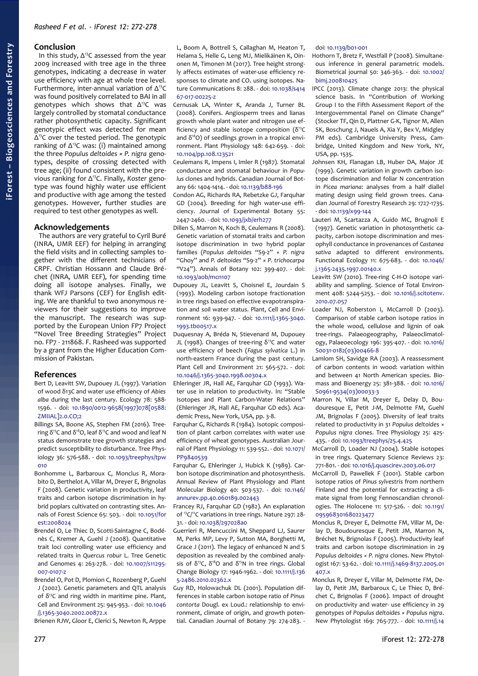# **Conclusion**

In this study,  $\Delta^{13}C$  assessed from the year 2009 increased with tree age in the three genotypes, indicating a decrease in water use efficiency with age at whole tree level. Furthermore, inter-annual variation of  $\Delta^{13}C$ was found positively correlated to BAI in all genotypes which shows that  $\Delta^{13}$ C was largely controlled by stomatal conductance rather photosynthetic capacity. Significant genotypic effect was detected for mean Δ <sup>13</sup>C over the tested period. The genotypic ranking of  $\Delta^{13}$ C was: (i) maintained among the three *Populus deltoides × P. nigra* genotypes, despite of crossing detected with tree age; (ii) found consistent with the previous ranking for Δ13C. Finally, *Koster* genotype was found highly water use efficient and productive with age among the tested genotypes. However, further studies are required to test other genotypes as well.

#### **Acknowledgements**

The authors are very grateful to Cyril Buré (INRA, UMR EEF) for helping in arranging the field visits and in collecting samples together with the different technicians of CRPF. Christian Hossann and Claude Bréchet (INRA, UMR EEF), for spending time doing all isotope analyses. Finally, we thank WFJ Parsons (CEF) for English editing. We are thankful to two anonymous reviewers for their suggestions to improve the manuscript. The research was supported by the European Union FP7 Project "Novel Tree Breeding Strategies" Project no. FP7 - 211868. F. Rasheed was supported by a grant from the Higher Education Commission of Pakistan.

# **References**

- Bert D, Leavitt SW, Dupouey JL (1997). Variation of wood δ13C and water use efficiency of *Abies alba* during the last century. Ecology 78: 588- 1596. - doi: [10.1890/0012-9658\(1997\)078\[0588:](https://doi.org/10.1890/0012-9658(1997)078%5B0588:ZMIIAL%5D2.0.CO;2) [ZMIIAL\]2.0.CO;2](https://doi.org/10.1890/0012-9658(1997)078%5B0588:ZMIIAL%5D2.0.CO;2)
- Billings SA, Boone AS, Stephen FM (2016). Treering  $δ<sup>13</sup>C$  and  $δ<sup>18</sup>O$ , leaf  $δ<sup>13</sup>C$  and wood and leaf N status demonstrate tree growth strategies and predict susceptibility to disturbance. Tree Physiology 36: 576-588. - doi: [10.1093/treephys/tpw](https://doi.org/10.1093/treephys/tpw010)  $010$
- Bonhomme L, Barbaroux C, Monclus R, Morabito D, Berthelot A, Villar M, Dreyer E, Brignolas F (2008). Genetic variation in productivity, leaf traits and carbon isotope discrimination in hybrid poplars cultivated on contrasting sites. Annals of Forest Science 65: 503. - doi: [10.1051/for](https://doi.org/10.1051/forest:2008024) [est:2008024](https://doi.org/10.1051/forest:2008024)
- Brendel O, Le Thiec D, Scotti-Saintagne C, Bodénès C, Kremer A, Guehl J (2008). Quantitative trait loci controlling water use efficiency and related traits in *Quercus robur* L. Tree Genetic and Genomes 4: 263-278. - doi: [10.1007/s11295-](https://doi.org/10.1007/s11295-007-0107-z) [007-0107-z](https://doi.org/10.1007/s11295-007-0107-z)
- Brendel O, Pot D, Plomion C, Rozenberg P, Guehl J (2002). Genetic parameters and QTL analysis of  $\delta^{13}$ C and ring width in maritime pine. Plant, Cell and Environment 25: 945-953. - doi: [10.1046](https://doi.org/10.1046/j.1365-3040.2002.00872.x) [/j.1365-3040.2002.00872.x](https://doi.org/10.1046/j.1365-3040.2002.00872.x)

Brienen RJW, Gloor E, Clerici S, Newton R, Arppe

L, Boom A, Bottrell S, Callaghan M, Heaton T, Helama S, Helle G, Leng MJ, Mielikäinen K, Oinonen M, Timonen M (2017). Tree height strongly affects estimates of water-use efficiency responses to climate and  $CO<sub>2</sub>$  using isotopes. Nature Communications 8: 288. - doi: [10.1038/s414](https://doi.org/10.1038/s41467-017-00225-z) [67-017-00225-z](https://doi.org/10.1038/s41467-017-00225-z)

- Cernusak LA, Winter K, Aranda J, Turner BL (2008). Conifers. Angiosperm trees and lianas growth whole plant water and nitrogen use efficiency and stable isotope composition ( $\delta^{13}C$ and  $\delta^{18}$ O) of seedlings grown in a tropical environment. Plant Physiology 148: 642-659. - doi: [10.1104/pp.108.123521](https://doi.org/10.1104/pp.108.123521)
- Ceulemans R, Impens I, Imler R (1987). Stomatal conductance and stomatal behaviour in *Populus* clones and hybrids. Canadian Journal of Botany 66: 1404-1414. - doi: [10.1139/b88-196](https://doi.org/10.1139/b88-196)
- Condon AG, Richards RA, Rebetzke GJ, Farquhar GD (2004). Breeding for high water-use efficiency. Journal of Experimental Botany 55: 2447-2460. - doi: [10.1093/jxb/erh277](https://doi.org/10.1093/jxb/erh277)
- Dillen S, Marron N, Koch B, Ceulemans R (2008). Genetic variation of stomatal traits and carbon isotope discrimination in two hybrid poplar families (*Populus deltoides* "S9-2" × *P. nigra* "Ghoy" and *P. deltoides* "S9-2" × *P. trichocarpa* "V24"). Annals of Botany 102: 399-407. - doi: [10.1093/aob/mcn107](https://doi.org/10.1093/aob/mcn107)
- Dupouey JL, Leavitt S, Choisnel E, Jourdain S (1993). Modeling carbon isotope fractionation in tree rings based on effective evapotranspiration and soil water status. Plant, Cell and Environment 16: 939-947. - doi: [10.1111/j.1365-3040.](https://doi.org/10.1111/j.1365-3040.1993.tb00517.x) [1993.tb00517.x](https://doi.org/10.1111/j.1365-3040.1993.tb00517.x)
- Duquesnay A, Bréda N, Stievenard M, Dupouey JL (1998). Changes of tree-ring  $δ<sup>13</sup>$ C and water use efficiency of beech (*Fagus sylvatica* L.) in north-eastern France during the past century. Plant Cell and Environment 21: 565-572. - doi: [10.1046/j.1365-3040.1998.00304.x](https://doi.org/10.1046/j.1365-3040.1998.00304.x)
- Ehleringer JR, Hall AE, Farquhar GD (1993). Water use in relation to productivity. In: "Stable Isotopes and Plant Carbon-Water Relations" (Ehleringer JR, Hall AE, Farquhar GD eds). Academic Press, New York, USA, pp. 3-8.
- Farquhar G, Richards R (1984). Isotopic composition of plant carbon correlates with water use efficiency of wheat genotypes. Australian Journal of Plant Physiology 11: 539-552. - doi: [10.1071/](https://doi.org/10.1071/PP9840539) [PP9840539](https://doi.org/10.1071/PP9840539)
- Farquhar G, Ehleringer J, Hubick K (1989). Carbon isotope discrimination and photosynthesis. Annual Review of Plant Physiology and Plant Molecular Biology 40: 503-537. - doi: [10.1146/](https://doi.org/10.1146/annurev.pp.40.060189.002443) [annurev.pp.40.060189.002443](https://doi.org/10.1146/annurev.pp.40.060189.002443)
- Francey RJ, Farquhar GD (1982). An explanation of <sup>13</sup>C/<sup>12</sup>C variations in tree rings. Nature 297: 28- 31. - doi: [10.1038/297028a0](https://doi.org/10.1038/297028a0)
- Guerrieri R, Mencuccini M, Sheppard LJ, Saurer M, Perks MP, Levy P, Sutton MA, Borghetti M, Grace J (2011). The legacy of enhanced N and S deposition as revealed by the combined analysis of δ<sup>13</sup>C, δ<sup>18</sup>O and δ<sup>15</sup>N in tree rings. Global Change Biology 17: 1946-1962. - doi: [10.1111/j.136](https://doi.org/10.1111/j.1365-2486.2010.02362.x) [5-2486.2010.02362.x](https://doi.org/10.1111/j.1365-2486.2010.02362.x)
- Guy RD, Holowachuk DL (2001). Population differences in stable carbon isotope ratio of *Pinus contorta* Dougl. ex Loud.: relationship to environment, climate of origin, and growth potential. Canadian Journal of Botany 79: 274-283. -

## doi: [10.1139/b01-001](https://doi.org/10.1139/b01-001)

- Hothorn T, Bretz F, Westfall P (2008). Simultaneous inference in general parametric models. Biometrical journal 50: 346-363. - doi: [10.1002/](https://doi.org/10.1002/bimj.200810425) [bimj.200810425](https://doi.org/10.1002/bimj.200810425)
- IPCC (2013). Climate change 2013: the physical science basis. In "Contribution of Working Group I to the Fifth Assessment Report of the Intergovernmental Panel on Climate Change" (Stocker TF, Qin D, Plattner G-K, Tignor M, Allen SK, Boschung J, Nauels A, Xia Y, Bex V, Midgley PM eds). Cambridge University Press, Cambridge, United Kingdom and New York, NY, USA, pp. 1535.
- Johnsen KH, Flanagan LB, Huber DA, Major JE (1999). Genetic variation in growth carbon isotope discrimination and foliar N concentration in *Picea mariana*: analyses from a half diallel mating design using field grown trees. Canadian Journal of Forestry Research 29: 1727-1735. - doi: [10.1139/x99-144](https://doi.org/10.1139/x99-144)
- Lauteri M, Scartazza A, Guido MC, Brugnoli E (1997). Genetic variation in photosynthetic capacity, carbon isotope discrimination and mesophyll conductance in provenances of *Castanea sativa* adapted to different environments. Functional Ecology 11: 675-683. - doi: [10.1046/](https://doi.org/10.1046/j.1365-2435.1997.00140.x) [j.1365-2435.1997.00140.x](https://doi.org/10.1046/j.1365-2435.1997.00140.x)
- Leavitt SW (2010). Tree-ring C-H-O isotope variability and sampling. Science of Total Environment 408: 5244-5253. - doi: [10.1016/j.scitotenv.](https://doi.org/10.1016/j.scitotenv.2010.07.057) [2010.07.057](https://doi.org/10.1016/j.scitotenv.2010.07.057)
- Loader NJ, Roberston I, McCarroll D (2003). Comparison of stable carbon isotope ratios in the whole wood, cellulose and lignin of oak tree-rings. Palaeogeography, Palaeoclimatology, Palaeoecology 196: 395-407. - doi: [10.1016/](https://doi.org/10.1016/S0031-0182(03)00466-8) [S0031-0182\(03\)00466-8](https://doi.org/10.1016/S0031-0182(03)00466-8)
- Lamlom SH, Savidge RA (2003). A reassessment of carbon contents in wood: variation within and between 41 North American species. Biomass and Bioenergy 25: 381-388. - doi: [10.1016/](https://doi.org/10.1016/S0961-9534(03)00033-3) [S0961-9534\(03\)00033-3](https://doi.org/10.1016/S0961-9534(03)00033-3)
- Marron N, Villar M, Dreyer E, Delay D, Boudouresque E, Petit J-M, Delmotte FM, Guehl JM, Brignolas F (2005). Diversity of leaf traits related to productivity in 31 *Populus deltoides* × *Populus nigra* clones. Tree Physiology 25: 425- 435. - doi: [10.1093/treephys/25.4.425](https://doi.org/10.1093/treephys/25.4.425)
- McCarroll D, Loader NJ (2004). Stable isotopes in tree rings. Quaternary Science Reviews 23: 771-801. - doi: [10.1016/j.quascirev.2003.06.017](https://doi.org/10.1016/j.quascirev.2003.06.017)
- McCarroll D, Pawellek F (2001). Stable carbon isotope ratios of *Pinus sylvestris* from northern Finland and the potential for extracting a climate signal from long Fennoscandian chronologies. The Holocene 11: 517-526. - doi: [10.1191/](https://doi.org/10.1191/095968301680223477) [095968301680223477](https://doi.org/10.1191/095968301680223477)
- Monclus R, Dreyer E, Delmotte FM, Villar M, Delay D, Boudouresque E, Petit JM, Marron N, Bréchet N, Brignolas F (2005). Productivity leaf traits and carbon isotope discrimination in 29 *Populus deltoides × P. nigra* clones. New Phytologist 167: 53-62. - doi: [10.1111/j.1469-8137.2005.01](https://doi.org/10.1111/j.1469-8137.2005.01407.x) [407.x](https://doi.org/10.1111/j.1469-8137.2005.01407.x)
- Monclus R, Dreyer E, Villar M, Delmotte FM, Delay D, Petit JM, Barbaroux C, Le Thiec D, Bréchet C, Brignolas F (2006). Impact of drought on productivity and water- use efficiency in 29 genotypes of *Populus deltoides × Populus nigra*. New Phytologist 169: 765-777. - doi: [10.1111/j.14](https://doi.org/10.1111/j.1469-8137.2005.01630.x)